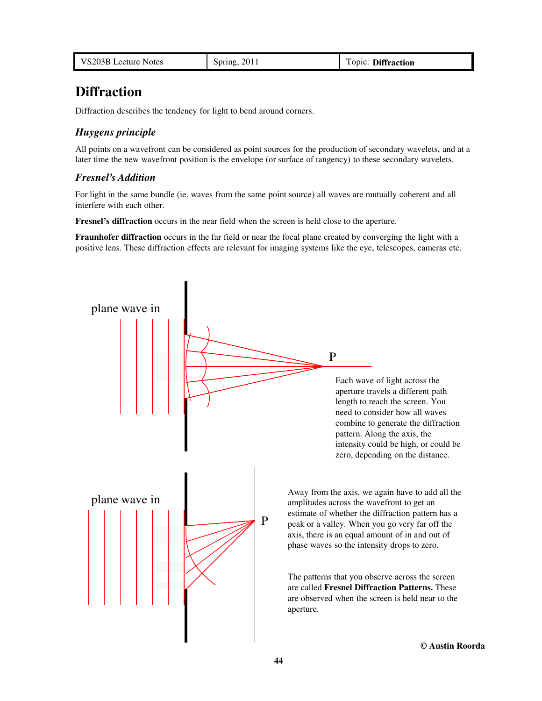| VS203B Lecture Notes | Spring, 2011 | Topic: Diffraction |
|----------------------|--------------|--------------------|
|----------------------|--------------|--------------------|

# **Diffraction**

Diffraction describes the tendency for light to bend around corners.

# *Huygens principle*

All points on a wavefront can be considered as point sources for the production of secondary wavelets, and at a later time the new wavefront position is the envelope (or surface of tangency) to these secondary wavelets.

## *Fresnel's Addition*

For light in the same bundle (ie. waves from the same point source) all waves are mutually coherent and all interfere with each other.

**Fresnel's diffraction** occurs in the near field when the screen is held close to the aperture.

**Fraunhofer diffraction** occurs in the far field or near the focal plane created by converging the light with a positive lens. These diffraction effects are relevant for imaging systems like the eye, telescopes, cameras etc.

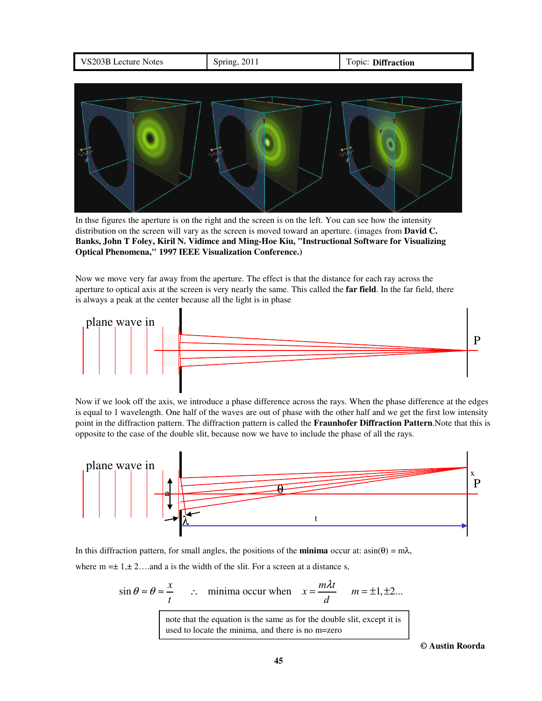

In thse figures the aperture is on the right and the screen is on the left. You can see how the intensity distribution on the screen will vary as the screen is moved toward an aperture. (images from **David C. Banks, John T Foley, Kiril N. Vidimce and Ming-Hoe Kiu, "Instructional Software for Visualizing Optical Phenomena," 1997 IEEE Visualization Conference.)**

Now we move very far away from the aperture. The effect is that the distance for each ray across the aperture to optical axis at the screen is very nearly the same. This called the **far field**. In the far field, there is always a peak at the center because all the light is in phase



Now if we look off the axis, we introduce a phase difference across the rays. When the phase difference at the edges is equal to 1 wavelength. One half of the waves are out of phase with the other half and we get the first low intensity point in the diffraction pattern. The diffraction pattern is called the **Fraunhofer Diffraction Pattern**.Note that this is opposite to the case of the double slit, because now we have to include the phase of all the rays.



In this diffraction pattern, for small angles, the positions of the **minima** occur at: asin(θ) = mλ, where  $m = \pm 1, \pm 2, \ldots$  and a is the width of the slit. For a screen at a distance s,

$$
\sin \theta \approx \theta \approx \frac{x}{t}
$$
  $\therefore$  minima occur when  $x = \frac{m\lambda t}{d}$   $m = \pm 1, \pm 2...$   
note that the equation is the same as for the double slit except it is

note that the equation is the same as for the double slit, except it is used to locate the minima, and there is no m=zero

**© Austin Roorda**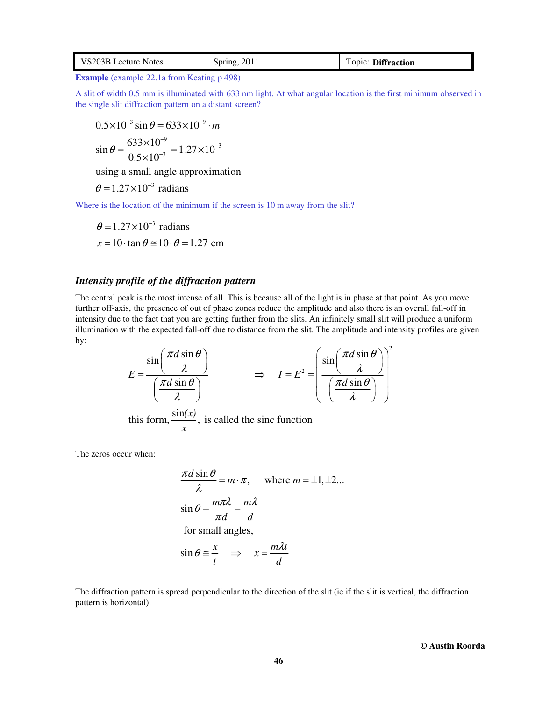| VS203B Lecture Notes | Spring, 2011 | Topic: Diffraction |
|----------------------|--------------|--------------------|
|----------------------|--------------|--------------------|

**Example** (example 22.1a from Keating p 498)

A slit of width 0.5 mm is illuminated with 633 nm light. At what angular location is the first minimum observed in the single slit diffraction pattern on a distant screen?

$$
0.5 \times 10^{-3} \sin \theta = 633 \times 10^{-9} \cdot m
$$
  

$$
\sin \theta = \frac{633 \times 10^{-9}}{0.5 \times 10^{-3}} = 1.27 \times 10^{-3}
$$

using a small angle approximation

 $\theta = 1.27 \times 10^{-3}$  radians

×

Where is the location of the minimum if the screen is 10 m away from the slit?

$$
\theta = 1.27 \times 10^{-3} \text{ radians}
$$
  
x = 10 \cdot \tan \theta \approx 10 \cdot \theta = 1.27 \text{ cm}

# *Intensity profile of the diffraction pattern*

The central peak is the most intense of all. This is because all of the light is in phase at that point. As you move further off-axis, the presence of out of phase zones reduce the amplitude and also there is an overall fall-off in intensity due to the fact that you are getting further from the slits. An infinitely small slit will produce a uniform illumination with the expected fall-off due to distance from the slit. The amplitude and intensity profiles are given by:

$$
E = \frac{\sin\left(\frac{\pi d \sin \theta}{\lambda}\right)}{\left(\frac{\pi d \sin \theta}{\lambda}\right)} \implies I = E^2 = \left(\frac{\sin\left(\frac{\pi d \sin \theta}{\lambda}\right)}{\left(\frac{\pi d \sin \theta}{\lambda}\right)}\right)^2
$$
  
this form,  $\frac{\sin(x)}{x}$ , is called the sinc function

The zeros occur when:

$$
\frac{\pi d \sin \theta}{\lambda} = m \cdot \pi, \quad \text{where } m = \pm 1, \pm 2...
$$
  

$$
\sin \theta = \frac{m \pi \lambda}{\pi d} = \frac{m \lambda}{d}
$$
  
for small angles,  

$$
\sin \theta \approx \frac{x}{t} \implies x = \frac{m \lambda t}{d}
$$

The diffraction pattern is spread perpendicular to the direction of the slit (ie if the slit is vertical, the diffraction pattern is horizontal).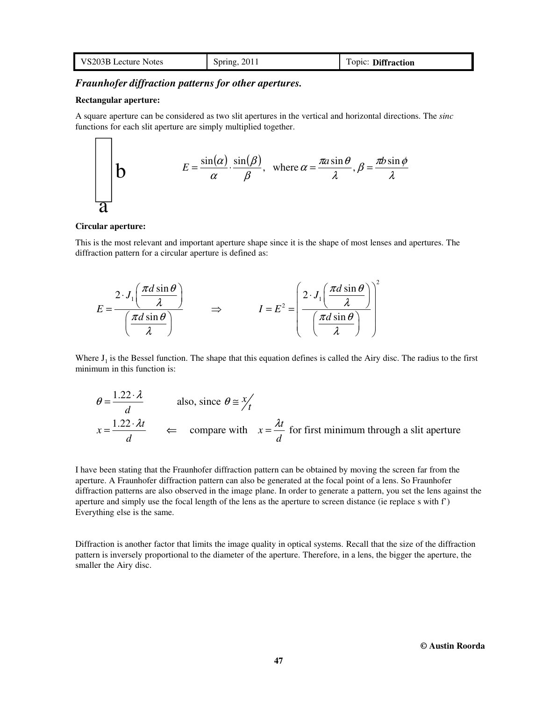| VS203B Lecture Notes | Spring, 2011 | Topic: Diffraction |
|----------------------|--------------|--------------------|
|----------------------|--------------|--------------------|

## *Fraunhofer diffraction patterns for other apertures.*

#### **Rectangular aperture:**

 $\Gamma$ ┑

A square aperture can be considered as two slit apertures in the vertical and horizontal directions. The *sinc* functions for each slit aperture are simply multiplied together.

**b** 
$$
E = \frac{\sin(\alpha)}{\alpha} \cdot \frac{\sin(\beta)}{\beta}, \text{ where } \alpha = \frac{\pi a \sin \theta}{\lambda}, \beta = \frac{\pi b \sin \phi}{\lambda}
$$

#### **Circular aperture:**

This is the most relevant and important aperture shape since it is the shape of most lenses and apertures. The diffraction pattern for a circular aperture is defined as:

$$
E = \frac{2 \cdot J_1 \left(\frac{\pi d \sin \theta}{\lambda}\right)}{\left(\frac{\pi d \sin \theta}{\lambda}\right)} \qquad \Rightarrow \qquad I = E^2 = \left(\frac{2 \cdot J_1 \left(\frac{\pi d \sin \theta}{\lambda}\right)}{\left(\frac{\pi d \sin \theta}{\lambda}\right)}\right)^2
$$

Where  $J_1$  is the Bessel function. The shape that this equation defines is called the Airy disc. The radius to the first minimum in this function is:

$$
\theta = \frac{1.22 \cdot \lambda}{d}
$$
 also, since  $\theta \approx \frac{x}{t}$   
 $x = \frac{1.22 \cdot \lambda t}{d}$   $\Leftarrow$  compare with  $x = \frac{\lambda t}{d}$  for first minimum through a slit aperture

I have been stating that the Fraunhofer diffraction pattern can be obtained by moving the screen far from the aperture. A Fraunhofer diffraction pattern can also be generated at the focal point of a lens. So Fraunhofer diffraction patterns are also observed in the image plane. In order to generate a pattern, you set the lens against the aperture and simply use the focal length of the lens as the aperture to screen distance (ie replace s with f') Everything else is the same.

Diffraction is another factor that limits the image quality in optical systems. Recall that the size of the diffraction pattern is inversely proportional to the diameter of the aperture. Therefore, in a lens, the bigger the aperture, the smaller the Airy disc.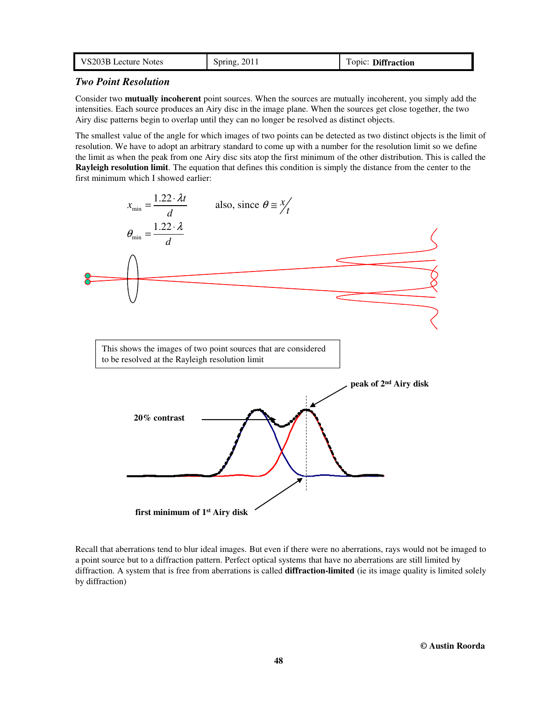| VS203B Lecture Notes | 2011<br>Spring, | Topic: Diffraction |
|----------------------|-----------------|--------------------|
|----------------------|-----------------|--------------------|

### *Two Point Resolution*

Consider two **mutually incoherent** point sources. When the sources are mutually incoherent, you simply add the intensities. Each source produces an Airy disc in the image plane. When the sources get close together, the two Airy disc patterns begin to overlap until they can no longer be resolved as distinct objects.

The smallest value of the angle for which images of two points can be detected as two distinct objects is the limit of resolution. We have to adopt an arbitrary standard to come up with a number for the resolution limit so we define the limit as when the peak from one Airy disc sits atop the first minimum of the other distribution. This is called the **Rayleigh resolution limit**. The equation that defines this condition is simply the distance from the center to the first minimum which I showed earlier:



Recall that aberrations tend to blur ideal images. But even if there were no aberrations, rays would not be imaged to a point source but to a diffraction pattern. Perfect optical systems that have no aberrations are still limited by diffraction. A system that is free from aberrations is called **diffraction-limited** (ie its image quality is limited solely by diffraction)